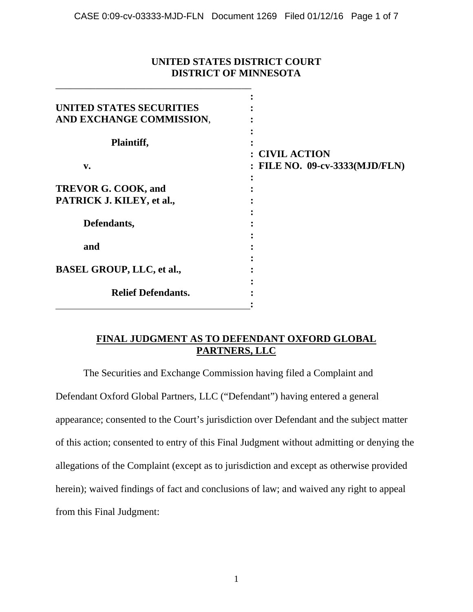### **UNITED STATES DISTRICT COURT DISTRICT OF MINNESOTA**

\_\_\_\_\_\_\_\_\_\_\_\_\_\_\_\_\_\_\_\_\_\_\_\_\_\_\_\_\_\_\_\_\_\_\_\_\_\_\_

| UNITED STATES SECURITIES         |                                |
|----------------------------------|--------------------------------|
| AND EXCHANGE COMMISSION,         |                                |
| Plaintiff,                       |                                |
|                                  | : CIVIL ACTION                 |
| v.                               | : FILE NO. 09-cv-3333(MJD/FLN) |
|                                  |                                |
| <b>TREVOR G. COOK, and</b>       |                                |
| PATRICK J. KILEY, et al.,        |                                |
|                                  |                                |
| Defendants,                      |                                |
|                                  |                                |
| and                              |                                |
|                                  |                                |
| <b>BASEL GROUP, LLC, et al.,</b> |                                |
|                                  |                                |
| <b>Relief Defendants.</b>        |                                |
|                                  |                                |

# **FINAL JUDGMENT AS TO DEFENDANT OXFORD GLOBAL PARTNERS, LLC**

The Securities and Exchange Commission having filed a Complaint and Defendant Oxford Global Partners, LLC ("Defendant") having entered a general appearance; consented to the Court's jurisdiction over Defendant and the subject matter of this action; consented to entry of this Final Judgment without admitting or denying the allegations of the Complaint (except as to jurisdiction and except as otherwise provided herein); waived findings of fact and conclusions of law; and waived any right to appeal from this Final Judgment: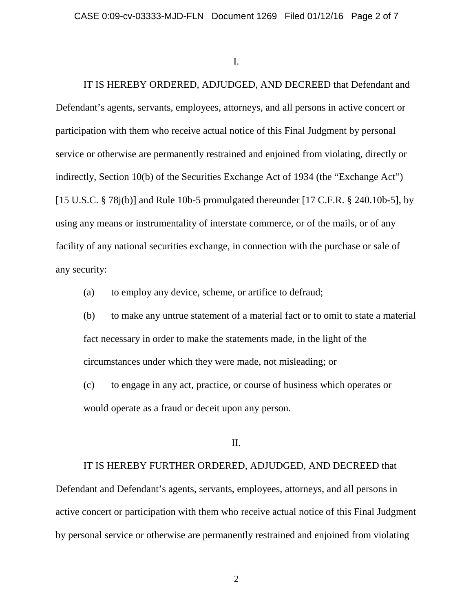I.

IT IS HEREBY ORDERED, ADJUDGED, AND DECREED that Defendant and Defendant's agents, servants, employees, attorneys, and all persons in active concert or participation with them who receive actual notice of this Final Judgment by personal service or otherwise are permanently restrained and enjoined from violating, directly or indirectly, Section 10(b) of the Securities Exchange Act of 1934 (the "Exchange Act") [15 U.S.C.  $\S$  78j(b)] and Rule 10b-5 promulgated thereunder [17 C.F.R.  $\S$  240.10b-5], by using any means or instrumentality of interstate commerce, or of the mails, or of any facility of any national securities exchange, in connection with the purchase or sale of any security:

(a) to employ any device, scheme, or artifice to defraud;

(b) to make any untrue statement of a material fact or to omit to state a material fact necessary in order to make the statements made, in the light of the circumstances under which they were made, not misleading; or

(c) to engage in any act, practice, or course of business which operates or would operate as a fraud or deceit upon any person.

II.

IT IS HEREBY FURTHER ORDERED, ADJUDGED, AND DECREED that

Defendant and Defendant's agents, servants, employees, attorneys, and all persons in active concert or participation with them who receive actual notice of this Final Judgment by personal service or otherwise are permanently restrained and enjoined from violating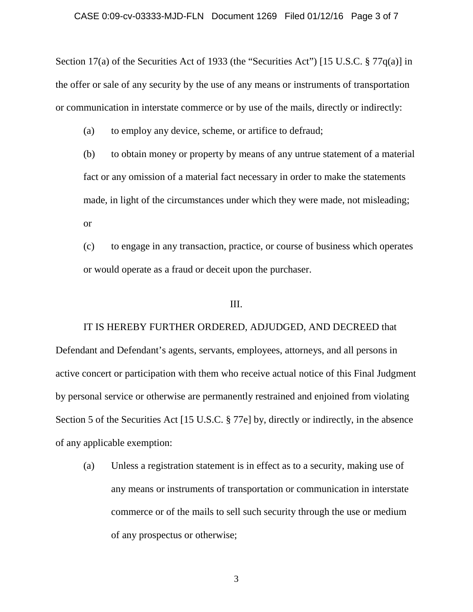Section 17(a) of the Securities Act of 1933 (the "Securities Act") [15 U.S.C. § 77q(a)] in the offer or sale of any security by the use of any means or instruments of transportation or communication in interstate commerce or by use of the mails, directly or indirectly:

(a) to employ any device, scheme, or artifice to defraud;

(b) to obtain money or property by means of any untrue statement of a material fact or any omission of a material fact necessary in order to make the statements made, in light of the circumstances under which they were made, not misleading; or

(c) to engage in any transaction, practice, or course of business which operates or would operate as a fraud or deceit upon the purchaser.

### III.

IT IS HEREBY FURTHER ORDERED, ADJUDGED, AND DECREED that Defendant and Defendant's agents, servants, employees, attorneys, and all persons in active concert or participation with them who receive actual notice of this Final Judgment by personal service or otherwise are permanently restrained and enjoined from violating Section 5 of the Securities Act [15 U.S.C. § 77e] by, directly or indirectly, in the absence of any applicable exemption:

(a) Unless a registration statement is in effect as to a security, making use of any means or instruments of transportation or communication in interstate commerce or of the mails to sell such security through the use or medium of any prospectus or otherwise;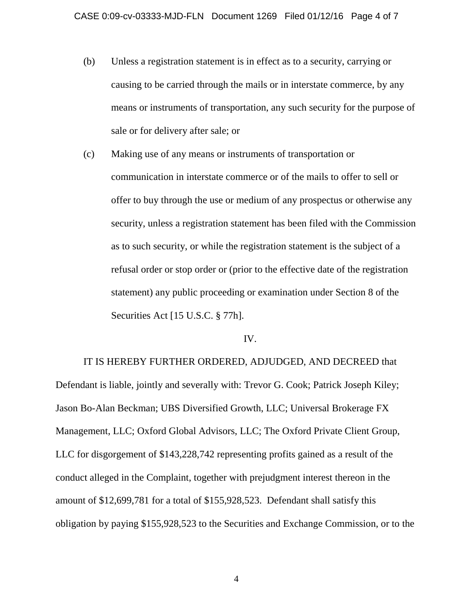- (b) Unless a registration statement is in effect as to a security, carrying or causing to be carried through the mails or in interstate commerce, by any means or instruments of transportation, any such security for the purpose of sale or for delivery after sale; or
- (c) Making use of any means or instruments of transportation or communication in interstate commerce or of the mails to offer to sell or offer to buy through the use or medium of any prospectus or otherwise any security, unless a registration statement has been filed with the Commission as to such security, or while the registration statement is the subject of a refusal order or stop order or (prior to the effective date of the registration statement) any public proceeding or examination under Section 8 of the Securities Act [15 U.S.C. § 77h].

#### IV.

IT IS HEREBY FURTHER ORDERED, ADJUDGED, AND DECREED that Defendant is liable, jointly and severally with: Trevor G. Cook; Patrick Joseph Kiley; Jason Bo-Alan Beckman; UBS Diversified Growth, LLC; Universal Brokerage FX Management, LLC; Oxford Global Advisors, LLC; The Oxford Private Client Group, LLC for disgorgement of \$143,228,742 representing profits gained as a result of the conduct alleged in the Complaint, together with prejudgment interest thereon in the amount of \$12,699,781 for a total of \$155,928,523. Defendant shall satisfy this obligation by paying \$155,928,523 to the Securities and Exchange Commission, or to the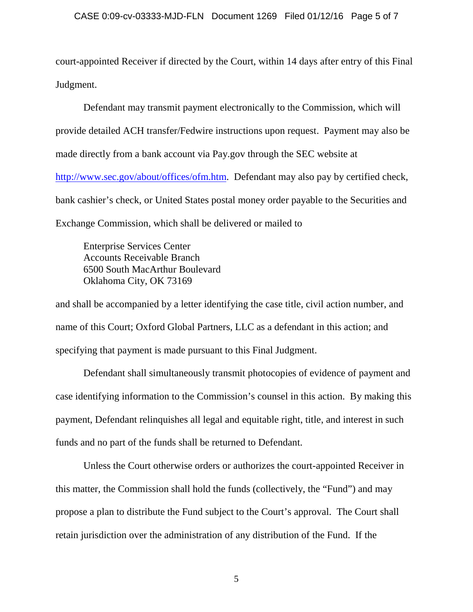court-appointed Receiver if directed by the Court, within 14 days after entry of this Final Judgment.

Defendant may transmit payment electronically to the Commission, which will provide detailed ACH transfer/Fedwire instructions upon request. Payment may also be made directly from a bank account via Pay.gov through the SEC website at [http://www.sec.gov/about/offices/ofm.htm.](http://www.sec.gov/about/offices/ofm.htm) Defendant may also pay by certified check, bank cashier's check, or United States postal money order payable to the Securities and Exchange Commission, which shall be delivered or mailed to

Enterprise Services Center Accounts Receivable Branch 6500 South MacArthur Boulevard Oklahoma City, OK 73169

and shall be accompanied by a letter identifying the case title, civil action number, and name of this Court; Oxford Global Partners, LLC as a defendant in this action; and specifying that payment is made pursuant to this Final Judgment.

Defendant shall simultaneously transmit photocopies of evidence of payment and case identifying information to the Commission's counsel in this action. By making this payment, Defendant relinquishes all legal and equitable right, title, and interest in such funds and no part of the funds shall be returned to Defendant.

Unless the Court otherwise orders or authorizes the court-appointed Receiver in this matter, the Commission shall hold the funds (collectively, the "Fund") and may propose a plan to distribute the Fund subject to the Court's approval. The Court shall retain jurisdiction over the administration of any distribution of the Fund. If the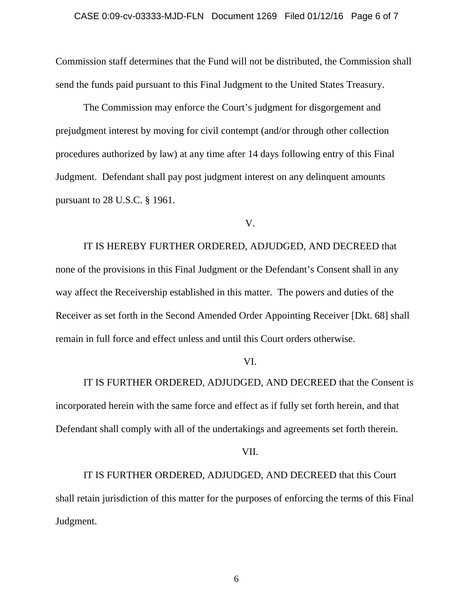Commission staff determines that the Fund will not be distributed, the Commission shall send the funds paid pursuant to this Final Judgment to the United States Treasury.

The Commission may enforce the Court's judgment for disgorgement and prejudgment interest by moving for civil contempt (and/or through other collection procedures authorized by law) at any time after 14 days following entry of this Final Judgment. Defendant shall pay post judgment interest on any delinquent amounts pursuant to 28 U.S.C. § 1961.

V.

IT IS HEREBY FURTHER ORDERED, ADJUDGED, AND DECREED that none of the provisions in this Final Judgment or the Defendant's Consent shall in any way affect the Receivership established in this matter. The powers and duties of the Receiver as set forth in the Second Amended Order Appointing Receiver [Dkt. 68] shall remain in full force and effect unless and until this Court orders otherwise.

### VI.

IT IS FURTHER ORDERED, ADJUDGED, AND DECREED that the Consent is incorporated herein with the same force and effect as if fully set forth herein, and that Defendant shall comply with all of the undertakings and agreements set forth therein.

#### VII.

IT IS FURTHER ORDERED, ADJUDGED, AND DECREED that this Court shall retain jurisdiction of this matter for the purposes of enforcing the terms of this Final Judgment.